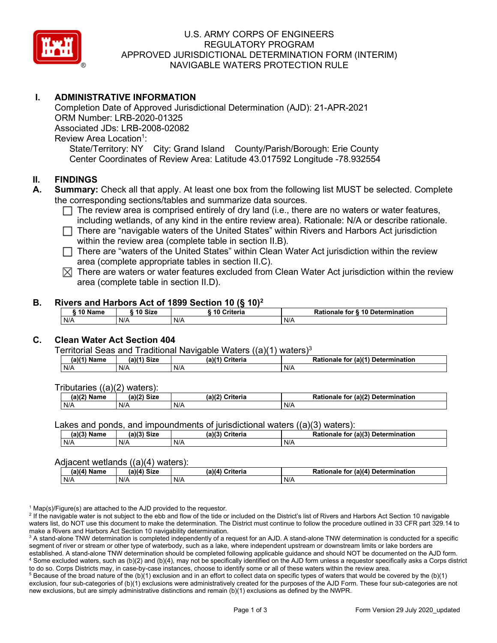

### U.S. ARMY CORPS OF ENGINEERS REGULATORY PROGRAM APPROVED JURISDICTIONAL DETERMINATION FORM (INTERIM) NAVIGABLE WATERS PROTECTION RULE

## **I. ADMINISTRATIVE INFORMATION**

Completion Date of Approved Jurisdictional Determination (AJD): 21-APR-2021 ORM Number: LRB-2020-01325 Associated JDs: LRB-2008-02082 Review Area Location<sup>1</sup>: State/Territory: NY City: Grand Island County/Parish/Borough: Erie County Center Coordinates of Review Area: Latitude 43.017592 Longitude -78.932554

#### **II. FINDINGS**

- **A. Summary:** Check all that apply. At least one box from the following list MUST be selected. Complete the corresponding sections/tables and summarize data sources.
	- $\Box$  The review area is comprised entirely of dry land (i.e., there are no waters or water features, including wetlands, of any kind in the entire review area). Rationale: N/A or describe rationale.
	- There are "navigable waters of the United States" within Rivers and Harbors Act jurisdiction within the review area (complete table in section II.B).
	- $\Box$  There are "waters of the United States" within Clean Water Act jurisdiction within the review area (complete appropriate tables in section II.C).
	- $\boxtimes$  There are waters or water features excluded from Clean Water Act jurisdiction within the review area (complete table in section II.D).

#### **B. Rivers and Harbors Act of 1899 Section 10 (§ 10)2**

| $\frac{1}{2}$ |         |                        |                                  |  |  |  |  |  |  |
|---------------|---------|------------------------|----------------------------------|--|--|--|--|--|--|
| <b>AA 51</b>  | 10 Size | <b>Criteria</b><br>-10 | Rationale for § 10 Determination |  |  |  |  |  |  |
| N/A           | N/A     | N/A                    | N/A                              |  |  |  |  |  |  |

### **C. Clean Water Act Section 404**

Territorial Seas and Traditional Navigable Waters  $((a)(1)$  waters)<sup>3</sup>

| Name<br>a) | <b>Size</b><br>01/41 | $(a)$ $(4)$<br>Criteria | $ur$ (a) $(4)$<br><b>Determination</b><br>Rationale<br>tor |
|------------|----------------------|-------------------------|------------------------------------------------------------|
| N/A        | N/A                  | N/A                     | N/A                                                        |

Tributaries ((a)(2) waters):

| $(a)$ ( $\degree$<br>Name | <b>Size</b><br>$\sim$ | Criteria<br>(a)(2) | (a)(2) Determination<br>tionale<br>τοι |  |  |
|---------------------------|-----------------------|--------------------|----------------------------------------|--|--|
| N/A                       | N/A                   | N/A                | N/A                                    |  |  |

Lakes and ponds, and impoundments of jurisdictional waters ((a)(3) waters):

| $(a)(3)$ $^{\prime\prime}$ | $(a)(3)$ Size | (a)(?')  | for (a)(3) Determination |
|----------------------------|---------------|----------|--------------------------|
| Name                       |               | Criteria | Rationale                |
| N/A                        | N/A           | N/A      | N/A                      |

#### Adjacent wetlands ((a)(4) waters):

| .             |               |                    |                                              |  |  |
|---------------|---------------|--------------------|----------------------------------------------|--|--|
| $(a)(4)$ Name | $(a)(4)$ Size | (a)(4)<br>Criteria | (a)(4) Determination<br><b>Rationale for</b> |  |  |
| N/A           | N/A           | N/A                | N/A                                          |  |  |

 $1$  Map(s)/Figure(s) are attached to the AJD provided to the requestor.

<sup>2</sup> If the navigable water is not subject to the ebb and flow of the tide or included on the District's list of Rivers and Harbors Act Section 10 navigable waters list, do NOT use this document to make the determination. The District must continue to follow the procedure outlined in 33 CFR part 329.14 to make a Rivers and Harbors Act Section 10 navigability determination.

<sup>3</sup> A stand-alone TNW determination is completed independently of a request for an AJD. A stand-alone TNW determination is conducted for a specific segment of river or stream or other type of waterbody, such as a lake, where independent upstream or downstream limits or lake borders are established. A stand-alone TNW determination should be completed following applicable guidance and should NOT be documented on the AJD form. <sup>4</sup> Some excluded waters, such as (b)(2) and (b)(4), may not be specifically identified on the AJD form unless a requestor specifically asks a Corps district to do so. Corps Districts may, in case-by-case instances, choose to identify some or all of these waters within the review area.

 $5$  Because of the broad nature of the (b)(1) exclusion and in an effort to collect data on specific types of waters that would be covered by the (b)(1) exclusion, four sub-categories of (b)(1) exclusions were administratively created for the purposes of the AJD Form. These four sub-categories are not new exclusions, but are simply administrative distinctions and remain (b)(1) exclusions as defined by the NWPR.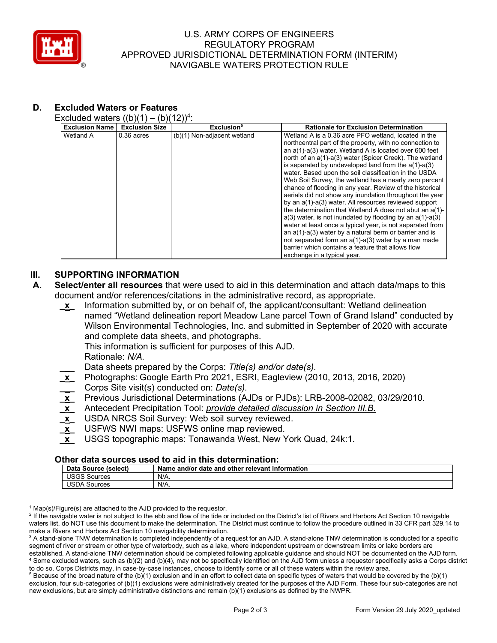

### U.S. ARMY CORPS OF ENGINEERS REGULATORY PROGRAM APPROVED JURISDICTIONAL DETERMINATION FORM (INTERIM) NAVIGABLE WATERS PROTECTION RULE

# **D. Excluded Waters or Features**

Excluded waters  $((b)(1) - (b)(12))^4$ :

|                       | $11 - 11 - 1$<br>$\sim$ | $\cdot$ – , , .             |                                                                                                                                                                                                                                                                                                                                                                                                                                                                                                                                                                                                                                                                                                                                                                                                                                                                                                                                                                                                          |  |  |
|-----------------------|-------------------------|-----------------------------|----------------------------------------------------------------------------------------------------------------------------------------------------------------------------------------------------------------------------------------------------------------------------------------------------------------------------------------------------------------------------------------------------------------------------------------------------------------------------------------------------------------------------------------------------------------------------------------------------------------------------------------------------------------------------------------------------------------------------------------------------------------------------------------------------------------------------------------------------------------------------------------------------------------------------------------------------------------------------------------------------------|--|--|
| <b>Exclusion Name</b> | <b>Exclusion Size</b>   | Exclusion <sup>5</sup>      | <b>Rationale for Exclusion Determination</b>                                                                                                                                                                                                                                                                                                                                                                                                                                                                                                                                                                                                                                                                                                                                                                                                                                                                                                                                                             |  |  |
| Wetland A             | $0.36$ acres            | (b)(1) Non-adjacent wetland | Wetland A is a 0.36 acre PFO wetland, located in the<br>northcentral part of the property, with no connection to<br>an a(1)-a(3) water. Wetland A is located over 600 feet<br>north of an a(1)-a(3) water (Spicer Creek). The wetland<br>is separated by undeveloped land from the $a(1)-a(3)$<br>water. Based upon the soil classification in the USDA<br>Web Soil Survey, the wetland has a nearly zero percent<br>chance of flooding in any year. Review of the historical<br>aerials did not show any inundation throughout the year<br>by an a(1)-a(3) water. All resources reviewed support<br>the determination that Wetland A does not abut an a(1)-<br>$a(3)$ water, is not inundated by flooding by an $a(1)$ - $a(3)$<br>water at least once a typical year, is not separated from<br>an $a(1)$ - $a(3)$ water by a natural berm or barrier and is<br>not separated form an a(1)-a(3) water by a man made<br>barrier which contains a feature that allows flow<br>exchange in a typical year. |  |  |

### **III. SUPPORTING INFORMATION**

- **A. Select/enter all resources** that were used to aid in this determination and attach data/maps to this document and/or references/citations in the administrative record, as appropriate.
	- **\_x\_** Information submitted by, or on behalf of, the applicant/consultant: Wetland delineation named "Wetland delineation report Meadow Lane parcel Town of Grand Island" conducted by Wilson Environmental Technologies, Inc. and submitted in September of 2020 with accurate and complete data sheets, and photographs.

This information is sufficient for purposes of this AJD.

Rationale: *N/A.*

**\_\_\_** Data sheets prepared by the Corps: *Title(s) and/or date(s).*

- **\_x\_** Photographs: Google Earth Pro 2021, ESRI, Eagleview (2010, 2013, 2016, 2020)
- **\_\_\_** Corps Site visit(s) conducted on: *Date(s).*
- **\_x\_** Previous Jurisdictional Determinations (AJDs or PJDs): LRB-2008-02082, 03/29/2010*.*
- **\_x\_** Antecedent Precipitation Tool: *provide detailed discussion in Section III.B.*
- **\_x\_** USDA NRCS Soil Survey: Web soil survey reviewed.
- **\_x\_** USFWS NWI maps: USFWS online map reviewed.
- **\_x\_** USGS topographic maps: Tonawanda West, New York Quad, 24k:1.

#### **Other data sources used to aid in this determination:**

| Data<br>Source (select) | and/or date and other relevant information {<br>Name |
|-------------------------|------------------------------------------------------|
| USGS<br>Sources         | N/A.                                                 |
| USDA<br>Sources         | $N/A$ .                                              |

 $1$  Map(s)/Figure(s) are attached to the AJD provided to the requestor.

<sup>2</sup> If the navigable water is not subject to the ebb and flow of the tide or included on the District's list of Rivers and Harbors Act Section 10 navigable waters list, do NOT use this document to make the determination. The District must continue to follow the procedure outlined in 33 CFR part 329.14 to make a Rivers and Harbors Act Section 10 navigability determination.

<sup>3</sup> A stand-alone TNW determination is completed independently of a request for an AJD. A stand-alone TNW determination is conducted for a specific segment of river or stream or other type of waterbody, such as a lake, where independent upstream or downstream limits or lake borders are established. A stand-alone TNW determination should be completed following applicable guidance and should NOT be documented on the AJD form. <sup>4</sup> Some excluded waters, such as (b)(2) and (b)(4), may not be specifically identified on the AJD form unless a requestor specifically asks a Corps district

to do so. Corps Districts may, in case-by-case instances, choose to identify some or all of these waters within the review area.  $5$  Because of the broad nature of the (b)(1) exclusion and in an effort to collect data on specific types of waters that would be covered by the (b)(1) exclusion, four sub-categories of (b)(1) exclusions were administratively created for the purposes of the AJD Form. These four sub-categories are not new exclusions, but are simply administrative distinctions and remain (b)(1) exclusions as defined by the NWPR.